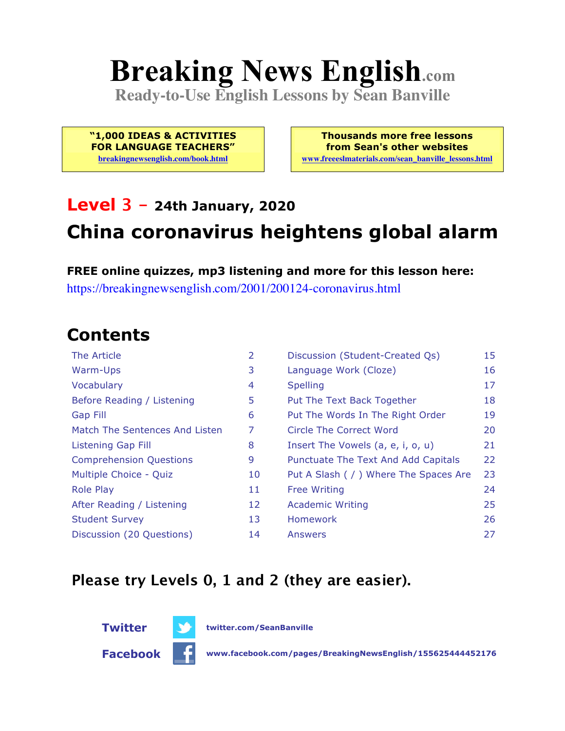# **Breaking News English.com**

**Ready-to-Use English Lessons by Sean Banville**

**"1,000 IDEAS & ACTIVITIES FOR LANGUAGE TEACHERS"**

**breakingnewsenglish.com/book.html**

**Thousands more free lessons from Sean's other websites www.freeeslmaterials.com/sean\_banville\_lessons.html**

### **Level 3 - 24th January, 2020 China coronavirus heightens global alarm**

**FREE online quizzes, mp3 listening and more for this lesson here:** https://breakingnewsenglish.com/2001/200124-coronavirus.html

#### **Contents**

| The Article                    | 2  | Discussion (Student-Created Qs)        | 15 |
|--------------------------------|----|----------------------------------------|----|
| Warm-Ups                       | 3  | Language Work (Cloze)                  | 16 |
| Vocabulary                     | 4  | <b>Spelling</b>                        | 17 |
| Before Reading / Listening     | 5  | Put The Text Back Together             | 18 |
| <b>Gap Fill</b>                | 6  | Put The Words In The Right Order       | 19 |
| Match The Sentences And Listen | 7  | Circle The Correct Word                | 20 |
| Listening Gap Fill             | 8  | Insert The Vowels (a, e, i, o, u)      | 21 |
| <b>Comprehension Questions</b> | 9  | Punctuate The Text And Add Capitals    | 22 |
| Multiple Choice - Quiz         | 10 | Put A Slash ( / ) Where The Spaces Are | 23 |
| <b>Role Play</b>               | 11 | <b>Free Writing</b>                    | 24 |
| After Reading / Listening      | 12 | <b>Academic Writing</b>                | 25 |
| <b>Student Survey</b>          | 13 | <b>Homework</b>                        | 26 |
| Discussion (20 Questions)      | 14 | Answers                                | 27 |

#### **Please try Levels 0, 1 and 2 (they are easier).**



**Facebook www.facebook.com/pages/BreakingNewsEnglish/155625444452176**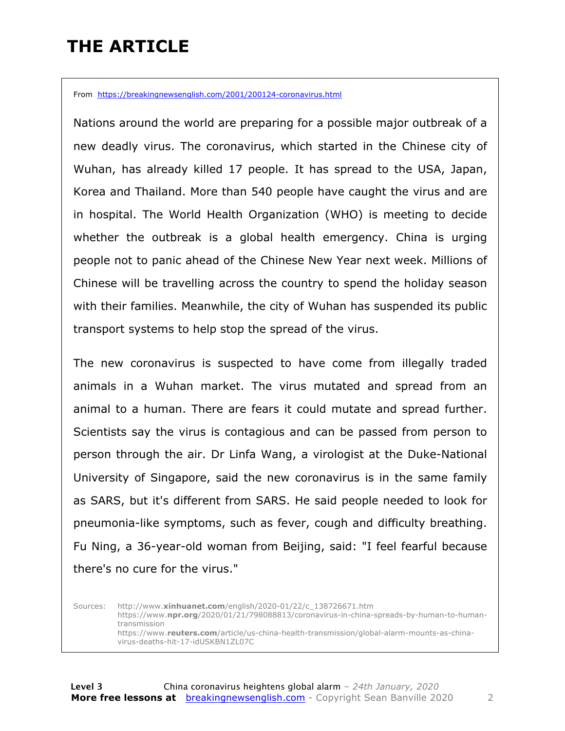### **THE ARTICLE**

From https://breakingnewsenglish.com/2001/200124-coronavirus.html

Nations around the world are preparing for a possible major outbreak of a new deadly virus. The coronavirus, which started in the Chinese city of Wuhan, has already killed 17 people. It has spread to the USA, Japan, Korea and Thailand. More than 540 people have caught the virus and are in hospital. The World Health Organization (WHO) is meeting to decide whether the outbreak is a global health emergency. China is urging people not to panic ahead of the Chinese New Year next week. Millions of Chinese will be travelling across the country to spend the holiday season with their families. Meanwhile, the city of Wuhan has suspended its public transport systems to help stop the spread of the virus.

The new coronavirus is suspected to have come from illegally traded animals in a Wuhan market. The virus mutated and spread from an animal to a human. There are fears it could mutate and spread further. Scientists say the virus is contagious and can be passed from person to person through the air. Dr Linfa Wang, a virologist at the Duke-National University of Singapore, said the new coronavirus is in the same family as SARS, but it's different from SARS. He said people needed to look for pneumonia-like symptoms, such as fever, cough and difficulty breathing. Fu Ning, a 36-year-old woman from Beijing, said: "I feel fearful because there's no cure for the virus."

Sources: http://www.**xinhuanet.com**/english/2020-01/22/c\_138726671.htm https://www.**npr.org**/2020/01/21/798088813/coronavirus-in-china-spreads-by-human-to-humantransmission https://www.**reuters.com**/article/us-china-health-transmission/global-alarm-mounts-as-chinavirus-deaths-hit-17-idUSKBN1ZL07C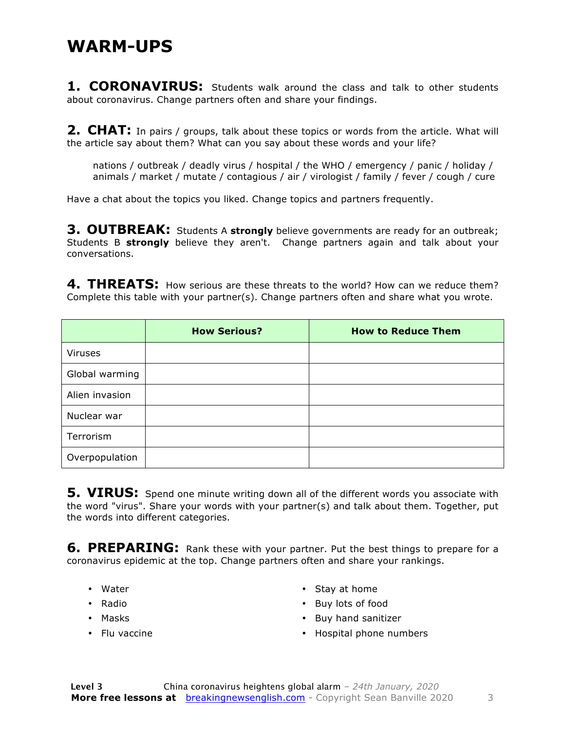#### **WARM-UPS**

**1. CORONAVIRUS:** Students walk around the class and talk to other students about coronavirus. Change partners often and share your findings.

**2. CHAT:** In pairs / groups, talk about these topics or words from the article. What will the article say about them? What can you say about these words and your life?

nations / outbreak / deadly virus / hospital / the WHO / emergency / panic / holiday / animals / market / mutate / contagious / air / virologist / family / fever / cough / cure

Have a chat about the topics you liked. Change topics and partners frequently.

**3. OUTBREAK:** Students A **strongly** believe governments are ready for an outbreak; Students B **strongly** believe they aren't. Change partners again and talk about your conversations.

**4. THREATS:** How serious are these threats to the world? How can we reduce them? Complete this table with your partner(s). Change partners often and share what you wrote.

|                | <b>How Serious?</b> | <b>How to Reduce Them</b> |
|----------------|---------------------|---------------------------|
| <b>Viruses</b> |                     |                           |
| Global warming |                     |                           |
| Alien invasion |                     |                           |
| Nuclear war    |                     |                           |
| Terrorism      |                     |                           |
| Overpopulation |                     |                           |

**5. VIRUS:** Spend one minute writing down all of the different words you associate with the word "virus". Share your words with your partner(s) and talk about them. Together, put the words into different categories.

**6. PREPARING:** Rank these with your partner. Put the best things to prepare for a coronavirus epidemic at the top. Change partners often and share your rankings.

- Water
- Radio
- Masks
- Flu vaccine
- Stay at home
- Buy lots of food
- Buy hand sanitizer
- Hospital phone numbers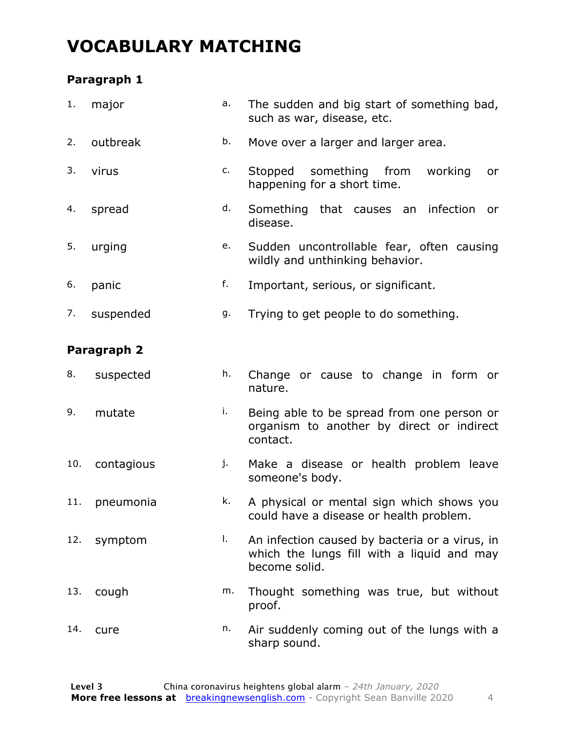### **VOCABULARY MATCHING**

#### **Paragraph 1**

| 1.  | major       | a. | The sudden and big start of something bad,<br>such as war, disease, etc.                                      |  |  |  |  |  |
|-----|-------------|----|---------------------------------------------------------------------------------------------------------------|--|--|--|--|--|
| 2.  | outbreak    | b. | Move over a larger and larger area.                                                                           |  |  |  |  |  |
| 3.  | virus       | c. | Stopped<br>something from<br>working<br>or<br>happening for a short time.                                     |  |  |  |  |  |
| 4.  | spread      | d. | Something that causes an infection<br>or<br>disease.                                                          |  |  |  |  |  |
| 5.  | urging      | e. | Sudden uncontrollable fear, often causing<br>wildly and unthinking behavior.                                  |  |  |  |  |  |
| 6.  | panic       | f. | Important, serious, or significant.                                                                           |  |  |  |  |  |
| 7.  | suspended   | g. | Trying to get people to do something.                                                                         |  |  |  |  |  |
|     | Paragraph 2 |    |                                                                                                               |  |  |  |  |  |
| 8.  | suspected   | h. | Change or cause to change in form or<br>nature.                                                               |  |  |  |  |  |
| 9.  | mutate      | i. | Being able to be spread from one person or<br>organism to another by direct or indirect<br>contact.           |  |  |  |  |  |
| 10. | contagious  | j. | Make a disease or health problem leave<br>someone's body.                                                     |  |  |  |  |  |
| 11. | pneumonia   | k. | A physical or mental sign which shows you<br>could have a disease or health problem.                          |  |  |  |  |  |
| 12. | symptom     | Τ. | An infection caused by bacteria or a virus, in<br>which the lungs fill with a liquid and may<br>become solid. |  |  |  |  |  |
| 13. | cough       | m. | Thought something was true, but without<br>proof.                                                             |  |  |  |  |  |
| 14. | cure        | n. | Air suddenly coming out of the lungs with a<br>sharp sound.                                                   |  |  |  |  |  |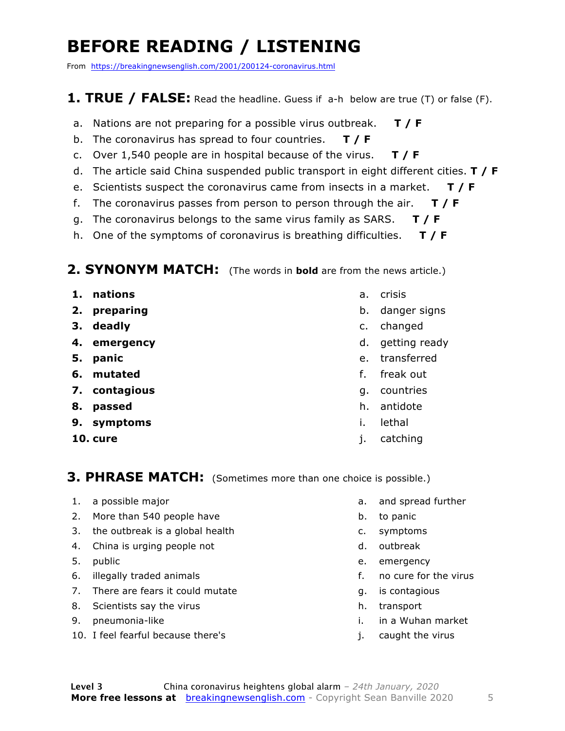### **BEFORE READING / LISTENING**

From https://breakingnewsenglish.com/2001/200124-coronavirus.html

#### **1. TRUE / FALSE:** Read the headline. Guess if a-h below are true (T) or false (F).

- a. Nations are not preparing for a possible virus outbreak. **T / F**
- b. The coronavirus has spread to four countries. **T / F**
- c. Over 1,540 people are in hospital because of the virus. **T / F**
- d. The article said China suspended public transport in eight different cities. **T / F**
- e. Scientists suspect the coronavirus came from insects in a market. **T / F**
- f. The coronavirus passes from person to person through the air. **T / F**
- g. The coronavirus belongs to the same virus family as SARS. **T / F**
- h. One of the symptoms of coronavirus is breathing difficulties. **T / F**

#### **2. SYNONYM MATCH:** (The words in **bold** are from the news article.)

- **1. nations**
- **2. preparing**
- **3. deadly**
- **4. emergency**
- **5. panic**
- **6. mutated**
- **7. contagious**
- **8. passed**
- **9. symptoms**
- **10. cure**
- a. crisis
- b. danger signs
- c. changed
- d. getting ready
- e. transferred
- f. freak out
- g. countries
- h. antidote
- i. lethal
- j. catching

#### **3. PHRASE MATCH:** (Sometimes more than one choice is possible.)

- 1. a possible major
- 2. More than 540 people have
- 3. the outbreak is a global health
- 4. China is urging people not
- 5. public
- 6. illegally traded animals
- 7. There are fears it could mutate
- 8. Scientists say the virus
- 9. pneumonia-like
- 10. I feel fearful because there's
- a. and spread further
- b. to panic
- c. symptoms
- d. outbreak
- e. emergency
- f. no cure for the virus
- g. is contagious
- h. transport
- i. in a Wuhan market
- j. caught the virus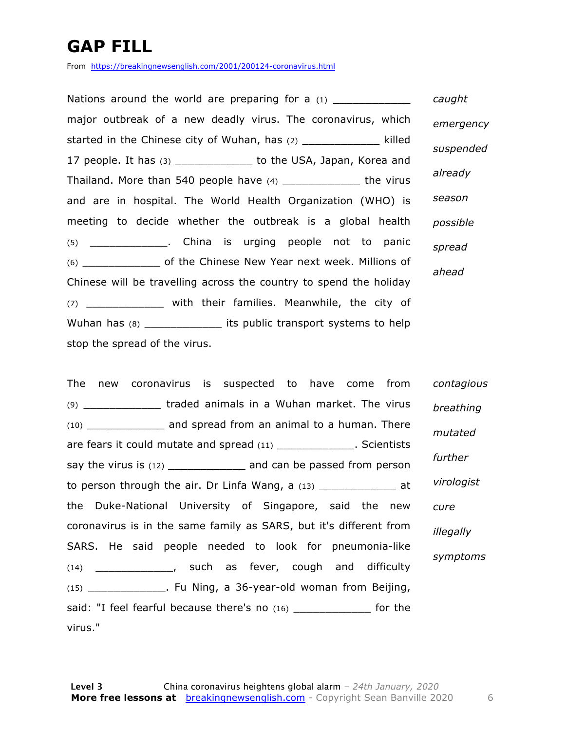### **GAP FILL**

From https://breakingnewsenglish.com/2001/200124-coronavirus.html

Nations around the world are preparing for a  $(1)$ major outbreak of a new deadly virus. The coronavirus, which started in the Chinese city of Wuhan, has (2) \_\_\_\_\_\_\_\_\_\_\_\_\_\_\_ killed 17 people. It has  $(3)$  \_\_\_\_\_\_\_\_\_\_\_\_\_ to the USA, Japan, Korea and Thailand. More than 540 people have (4) \_\_\_\_\_\_\_\_\_\_\_\_ the virus and are in hospital. The World Health Organization (WHO) is meeting to decide whether the outbreak is a global health (5) \_\_\_\_\_\_\_\_\_\_\_\_. China is urging people not to panic (6) \_\_\_\_\_\_\_\_\_\_\_\_ of the Chinese New Year next week. Millions of Chinese will be travelling across the country to spend the holiday (7) \_\_\_\_\_\_\_\_\_\_\_\_ with their families. Meanwhile, the city of Wuhan has (8) \_\_\_\_\_\_\_\_\_\_\_\_\_\_\_\_ its public transport systems to help stop the spread of the virus. *caught emergency suspended already season possible spread ahead*

The new coronavirus is suspected to have come from (9) \_\_\_\_\_\_\_\_\_\_\_\_ traded animals in a Wuhan market. The virus (10) \_\_\_\_\_\_\_\_\_\_\_\_ and spread from an animal to a human. There are fears it could mutate and spread (11) \_\_\_\_\_\_\_\_\_\_\_\_\_\_. Scientists say the virus is (12) \_\_\_\_\_\_\_\_\_\_\_\_\_\_ and can be passed from person to person through the air. Dr Linfa Wang, a  $(13)$  \_\_\_\_\_\_\_\_\_\_\_\_\_\_\_\_\_ at the Duke-National University of Singapore, said the new coronavirus is in the same family as SARS, but it's different from SARS. He said people needed to look for pneumonia-like (14) \_\_\_\_\_\_\_\_\_\_\_\_, such as fever, cough and difficulty (15) \_\_\_\_\_\_\_\_\_\_\_\_. Fu Ning, a 36-year-old woman from Beijing, said: "I feel fearful because there's no (16) \_\_\_\_\_\_\_\_\_\_\_\_\_\_ for the virus." *contagious breathing mutated further virologist cure illegally symptoms*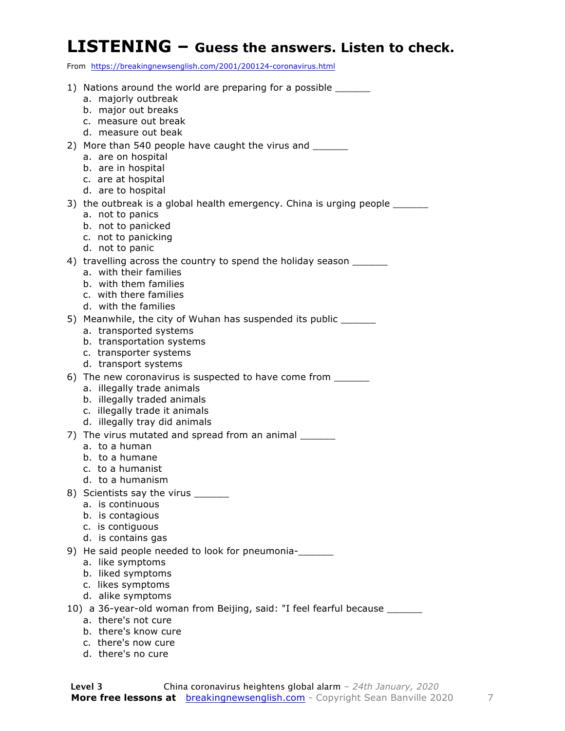#### **LISTENING – Guess the answers. Listen to check.**

From https://breakingnewsenglish.com/2001/200124-coronavirus.html

| 1) Nations around the world are preparing for a possible                                        |
|-------------------------------------------------------------------------------------------------|
| a. majorly outbreak<br>b. major out breaks                                                      |
| c. measure out break                                                                            |
| d. measure out beak                                                                             |
| 2) More than 540 people have caught the virus and _______                                       |
| a. are on hospital                                                                              |
| b. are in hospital                                                                              |
| c. are at hospital                                                                              |
| d. are to hospital                                                                              |
| 3) the outbreak is a global health emergency. China is urging people ______<br>a. not to panics |
| b. not to panicked                                                                              |
| c. not to panicking                                                                             |
| d. not to panic                                                                                 |
| 4) travelling across the country to spend the holiday season ______                             |
| a. with their families                                                                          |
| b. with them families<br>c. with there families                                                 |
| d. with the families                                                                            |
| 5) Meanwhile, the city of Wuhan has suspended its public _______                                |
| a. transported systems                                                                          |
| b. transportation systems                                                                       |
| c. transporter systems                                                                          |
| d. transport systems                                                                            |
| 6) The new coronavirus is suspected to have come from _______<br>a. illegally trade animals     |
| b. illegally traded animals                                                                     |
| c. illegally trade it animals                                                                   |
| d. illegally tray did animals                                                                   |
| 7) The virus mutated and spread from an animal ______                                           |
| a. to a human                                                                                   |
| b. to a humane<br>c. to a humanist                                                              |
| d. to a humanism                                                                                |
| 8) Scientists say the virus _______                                                             |
| a. is continuous                                                                                |
| b. is contagious                                                                                |
| c. is contiguous                                                                                |
| d. is contains gas                                                                              |
| 9) He said people needed to look for pneumonia-                                                 |
| a. like symptoms<br>b. liked symptoms                                                           |
| c. likes symptoms                                                                               |
| d. alike symptoms                                                                               |
| 10) a 36-year-old woman from Beijing, said: "I feel fearful because _______                     |
| a. there's not cure                                                                             |
| b. there's know cure                                                                            |
| c. there's now cure<br>d. there's no cure                                                       |
|                                                                                                 |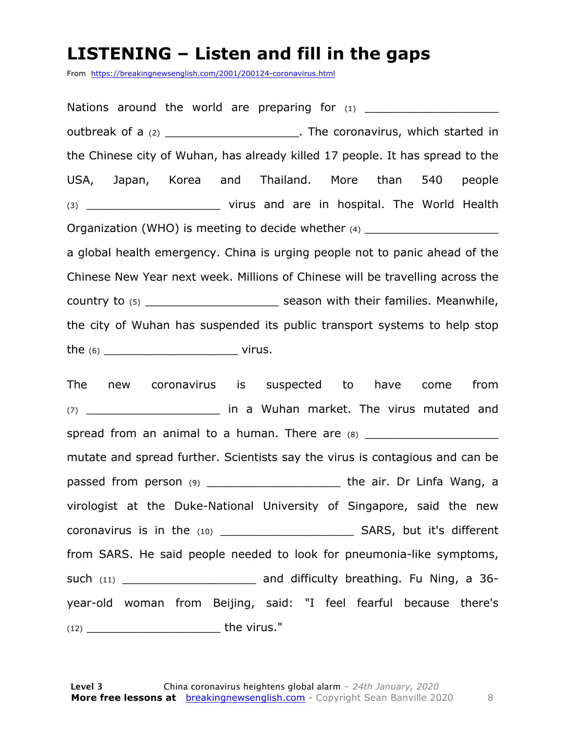#### **LISTENING – Listen and fill in the gaps**

From https://breakingnewsenglish.com/2001/200124-coronavirus.html

Nations around the world are preparing for  $(1)$ outbreak of a (2) \_\_\_\_\_\_\_\_\_\_\_\_\_\_\_\_\_\_\_\_\_\_\_. The coronavirus, which started in the Chinese city of Wuhan, has already killed 17 people. It has spread to the USA, Japan, Korea and Thailand. More than 540 people (3) \_\_\_\_\_\_\_\_\_\_\_\_\_\_\_\_\_\_\_\_\_\_\_\_\_\_\_\_\_\_ virus and are in hospital. The World Health Organization (WHO) is meeting to decide whether  $(4)$ a global health emergency. China is urging people not to panic ahead of the Chinese New Year next week. Millions of Chinese will be travelling across the country to (5) \_\_\_\_\_\_\_\_\_\_\_\_\_\_\_\_\_\_\_ season with their families. Meanwhile, the city of Wuhan has suspended its public transport systems to help stop the (6) \_\_\_\_\_\_\_\_\_\_\_\_\_\_\_\_\_\_\_ virus.

The new coronavirus is suspected to have come from (7) \_\_\_\_\_\_\_\_\_\_\_\_\_\_\_\_\_\_\_ in a Wuhan market. The virus mutated and spread from an animal to a human. There are (8) \_\_\_\_\_\_\_\_\_\_\_\_\_\_\_\_\_\_\_ mutate and spread further. Scientists say the virus is contagious and can be passed from person (9) \_\_\_\_\_\_\_\_\_\_\_\_\_\_\_\_\_\_\_\_\_\_\_\_\_\_\_\_the air. Dr Linfa Wang, a virologist at the Duke-National University of Singapore, said the new coronavirus is in the (10) \_\_\_\_\_\_\_\_\_\_\_\_\_\_\_\_\_\_\_ SARS, but it's different from SARS. He said people needed to look for pneumonia-like symptoms, such (11) \_\_\_\_\_\_\_\_\_\_\_\_\_\_\_\_\_\_\_\_\_\_\_\_\_\_ and difficulty breathing. Fu Ning, a 36year-old woman from Beijing, said: "I feel fearful because there's (12) \_\_\_\_\_\_\_\_\_\_\_\_\_\_\_\_\_\_\_ the virus."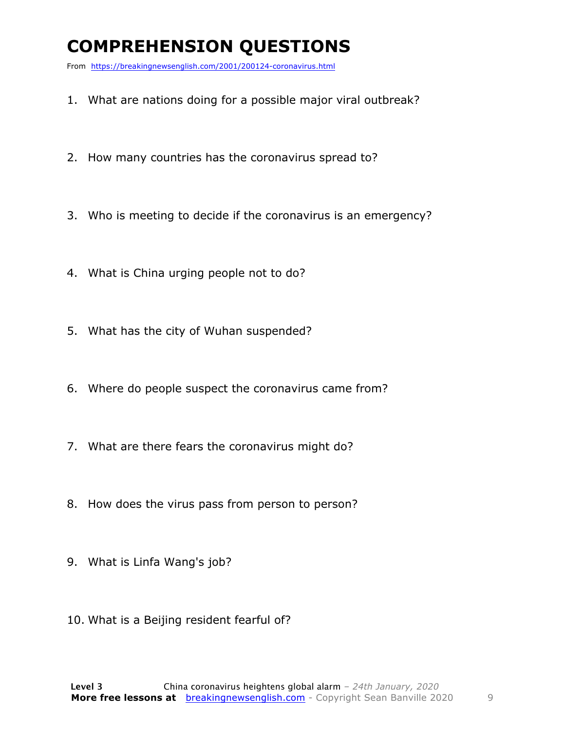### **COMPREHENSION QUESTIONS**

From https://breakingnewsenglish.com/2001/200124-coronavirus.html

- 1. What are nations doing for a possible major viral outbreak?
- 2. How many countries has the coronavirus spread to?
- 3. Who is meeting to decide if the coronavirus is an emergency?
- 4. What is China urging people not to do?
- 5. What has the city of Wuhan suspended?
- 6. Where do people suspect the coronavirus came from?
- 7. What are there fears the coronavirus might do?
- 8. How does the virus pass from person to person?
- 9. What is Linfa Wang's job?
- 10. What is a Beijing resident fearful of?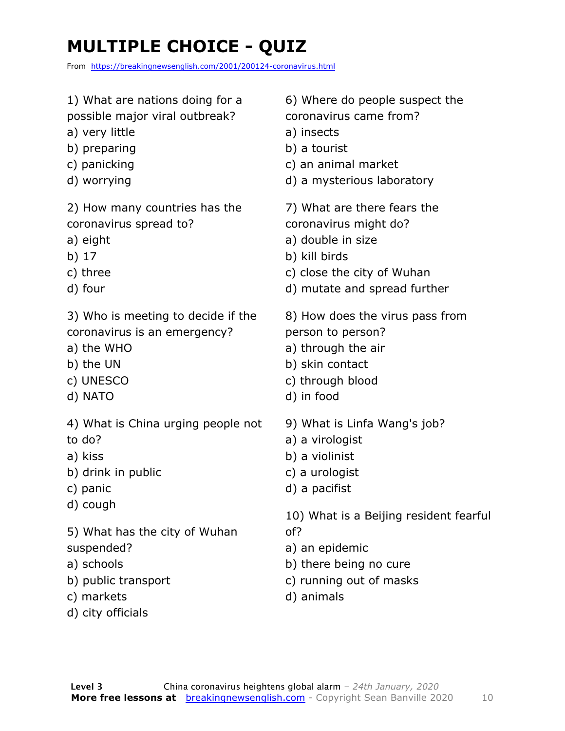### **MULTIPLE CHOICE - QUIZ**

From https://breakingnewsenglish.com/2001/200124-coronavirus.html

| 1) What are nations doing for a    | 6) Where do people suspect the         |
|------------------------------------|----------------------------------------|
| possible major viral outbreak?     | coronavirus came from?                 |
| a) very little                     | a) insects                             |
| b) preparing                       | b) a tourist                           |
| c) panicking                       | c) an animal market                    |
| d) worrying                        | d) a mysterious laboratory             |
| 2) How many countries has the      | 7) What are there fears the            |
| coronavirus spread to?             | coronavirus might do?                  |
| a) eight                           | a) double in size                      |
| b) 17                              | b) kill birds                          |
| c) three                           | c) close the city of Wuhan             |
| d) four                            | d) mutate and spread further           |
| 3) Who is meeting to decide if the | 8) How does the virus pass from        |
| coronavirus is an emergency?       | person to person?                      |
| a) the WHO                         | a) through the air                     |
| b) the UN                          | b) skin contact                        |
| c) UNESCO                          | c) through blood                       |
| d) NATO                            | d) in food                             |
| 4) What is China urging people not | 9) What is Linfa Wang's job?           |
| to do?                             | a) a virologist                        |
| a) kiss                            | b) a violinist                         |
| b) drink in public                 | c) a urologist                         |
| c) panic                           | d) a pacifist                          |
| d) cough                           | 10) What is a Beijing resident fearful |
| 5) What has the city of Wuhan      | of?                                    |
| suspended?                         | a) an epidemic                         |
| a) schools                         | b) there being no cure                 |
| b) public transport                | c) running out of masks                |
| c) markets                         | d) animals                             |

- c) markets
- d) city officials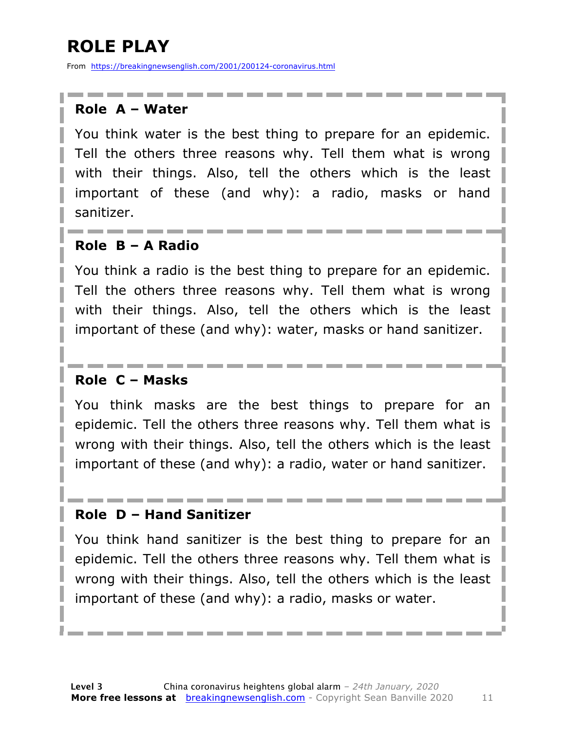### **ROLE PLAY**

From https://breakingnewsenglish.com/2001/200124-coronavirus.html

#### **Role A – Water**

You think water is the best thing to prepare for an epidemic. Tell the others three reasons why. Tell them what is wrong with their things. Also, tell the others which is the least important of these (and why): a radio, masks or hand sanitizer.

#### **Role B – A Radio**

You think a radio is the best thing to prepare for an epidemic. Tell the others three reasons why. Tell them what is wrong with their things. Also, tell the others which is the least important of these (and why): water, masks or hand sanitizer.

#### **Role C – Masks**

You think masks are the best things to prepare for an epidemic. Tell the others three reasons why. Tell them what is wrong with their things. Also, tell the others which is the least important of these (and why): a radio, water or hand sanitizer.

#### **Role D – Hand Sanitizer**

You think hand sanitizer is the best thing to prepare for an epidemic. Tell the others three reasons why. Tell them what is wrong with their things. Also, tell the others which is the least important of these (and why): a radio, masks or water.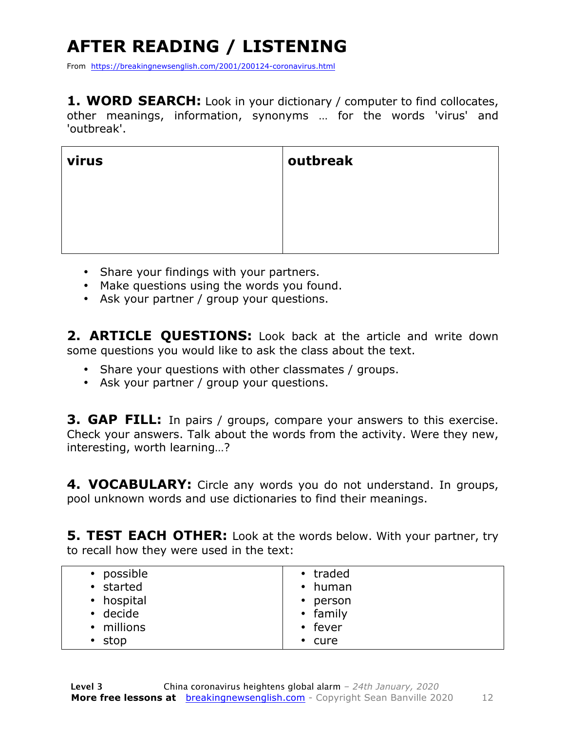## **AFTER READING / LISTENING**

From https://breakingnewsenglish.com/2001/200124-coronavirus.html

**1. WORD SEARCH:** Look in your dictionary / computer to find collocates, other meanings, information, synonyms … for the words 'virus' and 'outbreak'.

| virus | outbreak |
|-------|----------|
|       |          |
|       |          |
|       |          |

- Share your findings with your partners.
- Make questions using the words you found.
- Ask your partner / group your questions.

2. **ARTICLE QUESTIONS:** Look back at the article and write down some questions you would like to ask the class about the text.

- Share your questions with other classmates / groups.
- Ask your partner / group your questions.

**3. GAP FILL:** In pairs / groups, compare your answers to this exercise. Check your answers. Talk about the words from the activity. Were they new, interesting, worth learning…?

**4. VOCABULARY:** Circle any words you do not understand. In groups, pool unknown words and use dictionaries to find their meanings.

**5. TEST EACH OTHER:** Look at the words below. With your partner, try to recall how they were used in the text:

| • possible     | • traded      |
|----------------|---------------|
| • started      | $\cdot$ human |
| • hospital     | • person      |
| $\cdot$ decide | • family      |
| • millions     | • fever       |
| $\cdot$ stop   | $\cdot$ cure  |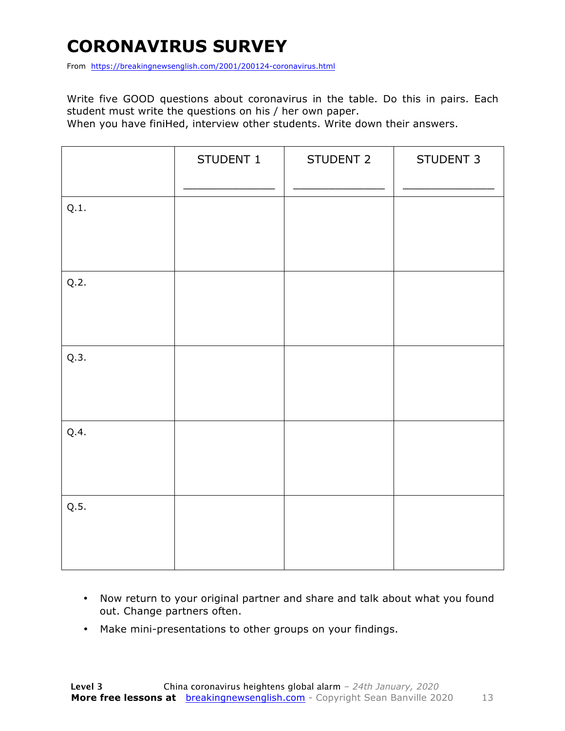### **CORONAVIRUS SURVEY**

From https://breakingnewsenglish.com/2001/200124-coronavirus.html

Write five GOOD questions about coronavirus in the table. Do this in pairs. Each student must write the questions on his / her own paper.

When you have finiHed, interview other students. Write down their answers.

|      | STUDENT 1 | STUDENT 2 | STUDENT 3 |
|------|-----------|-----------|-----------|
| Q.1. |           |           |           |
| Q.2. |           |           |           |
| Q.3. |           |           |           |
| Q.4. |           |           |           |
| Q.5. |           |           |           |

- Now return to your original partner and share and talk about what you found out. Change partners often.
- Make mini-presentations to other groups on your findings.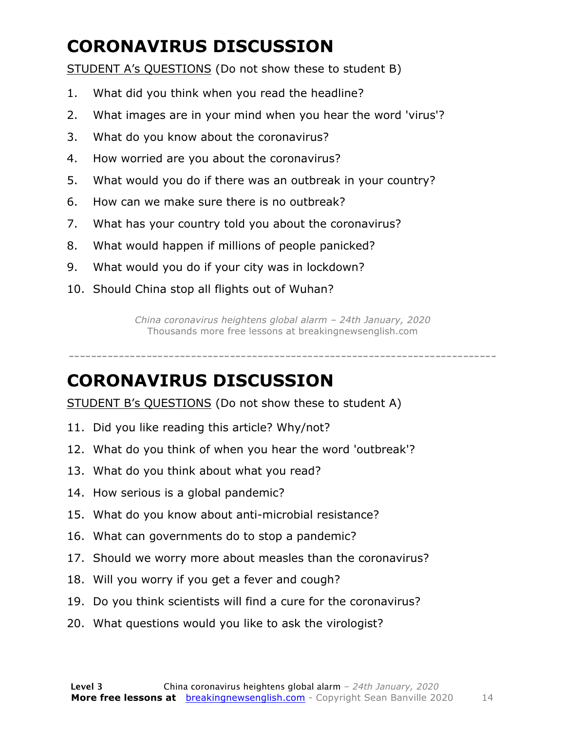### **CORONAVIRUS DISCUSSION**

STUDENT A's QUESTIONS (Do not show these to student B)

- 1. What did you think when you read the headline?
- 2. What images are in your mind when you hear the word 'virus'?
- 3. What do you know about the coronavirus?
- 4. How worried are you about the coronavirus?
- 5. What would you do if there was an outbreak in your country?
- 6. How can we make sure there is no outbreak?
- 7. What has your country told you about the coronavirus?
- 8. What would happen if millions of people panicked?
- 9. What would you do if your city was in lockdown?
- 10. Should China stop all flights out of Wuhan?

*China coronavirus heightens global alarm – 24th January, 2020* Thousands more free lessons at breakingnewsenglish.com

-----------------------------------------------------------------------------

#### **CORONAVIRUS DISCUSSION**

STUDENT B's QUESTIONS (Do not show these to student A)

- 11. Did you like reading this article? Why/not?
- 12. What do you think of when you hear the word 'outbreak'?
- 13. What do you think about what you read?
- 14. How serious is a global pandemic?
- 15. What do you know about anti-microbial resistance?
- 16. What can governments do to stop a pandemic?
- 17. Should we worry more about measles than the coronavirus?
- 18. Will you worry if you get a fever and cough?
- 19. Do you think scientists will find a cure for the coronavirus?
- 20. What questions would you like to ask the virologist?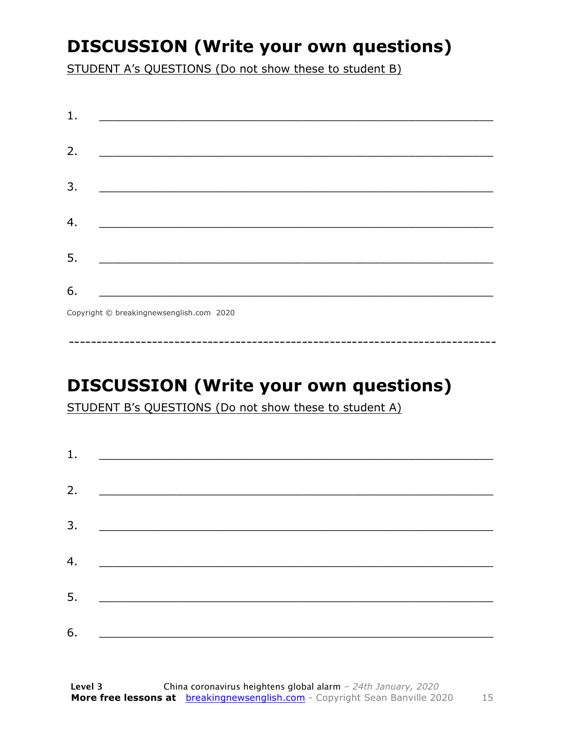### **DISCUSSION (Write your own questions)**

STUDENT A's QUESTIONS (Do not show these to student B)

| 1. |                                          |
|----|------------------------------------------|
|    |                                          |
| 2. |                                          |
|    |                                          |
| 3. |                                          |
|    |                                          |
| 4. |                                          |
|    |                                          |
| 5. |                                          |
|    |                                          |
| 6. |                                          |
|    | Copyright © breakingnewsenglish.com 2020 |

### **DISCUSSION (Write your own questions)**

STUDENT B's QUESTIONS (Do not show these to student A)

| 1. |                                                                                                                         |  |  |
|----|-------------------------------------------------------------------------------------------------------------------------|--|--|
|    |                                                                                                                         |  |  |
| 2. | <u> 1980 - Antonio Alemania, prima prestava postala de la provincia de la provincia de la provincia de la provincia</u> |  |  |
| 3. | <u> 1980 - Andrea Andrew Maria (h. 1980).</u>                                                                           |  |  |
|    |                                                                                                                         |  |  |
| 4. | <u> 1980 - Jan Barbara Barat, martin da basar da basar da basar da basar da basar da basar da basar da basar da b</u>   |  |  |
| 5. | <u> 1986 - Johann Stoff, deutscher Stoff und der Stoff und der Stoff und der Stoff und der Stoff und der Stoff und</u>  |  |  |
|    |                                                                                                                         |  |  |
| 6. |                                                                                                                         |  |  |

15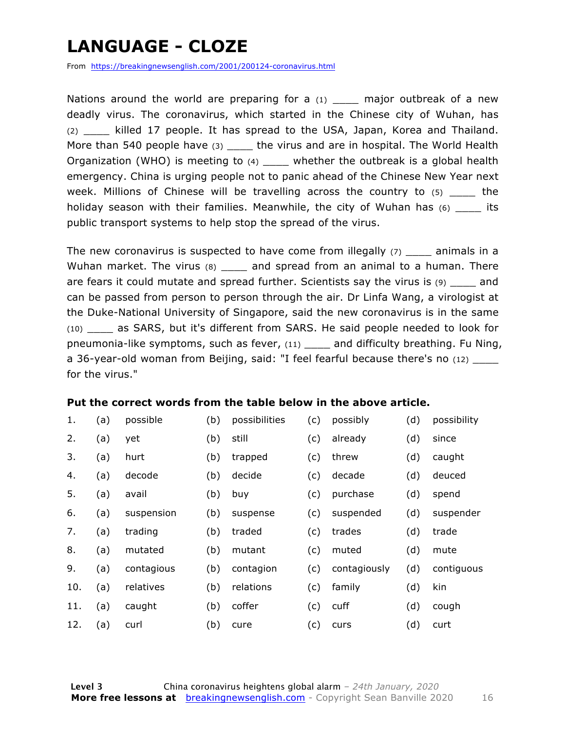### **LANGUAGE - CLOZE**

From https://breakingnewsenglish.com/2001/200124-coronavirus.html

Nations around the world are preparing for a  $(1)$  major outbreak of a new deadly virus. The coronavirus, which started in the Chinese city of Wuhan, has (2) \_\_\_\_ killed 17 people. It has spread to the USA, Japan, Korea and Thailand. More than 540 people have (3) the virus and are in hospital. The World Health Organization (WHO) is meeting to  $(4)$  \_\_\_\_ whether the outbreak is a global health emergency. China is urging people not to panic ahead of the Chinese New Year next week. Millions of Chinese will be travelling across the country to  $(5)$  the holiday season with their families. Meanwhile, the city of Wuhan has  $(6)$  \_\_\_\_\_ its public transport systems to help stop the spread of the virus.

The new coronavirus is suspected to have come from illegally  $(7)$  animals in a Wuhan market. The virus (8) \_\_\_\_\_ and spread from an animal to a human. There are fears it could mutate and spread further. Scientists say the virus is  $(9)$  and can be passed from person to person through the air. Dr Linfa Wang, a virologist at the Duke-National University of Singapore, said the new coronavirus is in the same (10) \_\_\_\_ as SARS, but it's different from SARS. He said people needed to look for pneumonia-like symptoms, such as fever, (11) \_\_\_\_ and difficulty breathing. Fu Ning, a 36-year-old woman from Beijing, said: "I feel fearful because there's no (12) \_\_\_\_ for the virus."

#### **Put the correct words from the table below in the above article.**

| 1.  | (a) | possible   | (b) | possibilities | (c) | possibly     | (d) | possibility |
|-----|-----|------------|-----|---------------|-----|--------------|-----|-------------|
| 2.  | (a) | yet        | (b) | still         | (c) | already      | (d) | since       |
| 3.  | (a) | hurt       | (b) | trapped       | (c) | threw        | (d) | caught      |
| 4.  | (a) | decode     | (b) | decide        | (c) | decade       | (d) | deuced      |
| 5.  | (a) | avail      | (b) | buy           | (c) | purchase     | (d) | spend       |
| 6.  | (a) | suspension | (b) | suspense      | (c) | suspended    | (d) | suspender   |
| 7.  | (a) | trading    | (b) | traded        | (c) | trades       | (d) | trade       |
| 8.  | (a) | mutated    | (b) | mutant        | (c) | muted        | (d) | mute        |
| 9.  | (a) | contagious | (b) | contagion     | (c) | contagiously | (d) | contiguous  |
| 10. | (a) | relatives  | (b) | relations     | (c) | family       | (d) | kin         |
| 11. | (a) | caught     | (b) | coffer        | (c) | cuff         | (d) | cough       |
| 12. | (a) | curl       | (b) | cure          | (c) | curs         | (d) | curt        |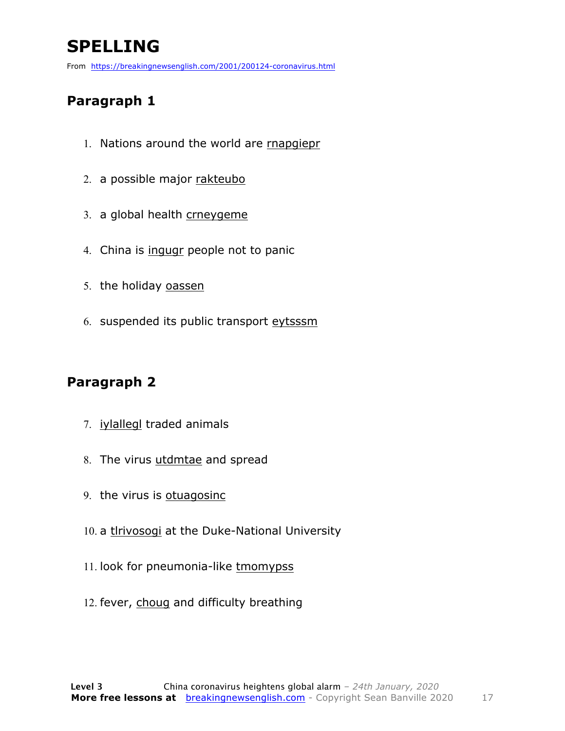### **SPELLING**

From https://breakingnewsenglish.com/2001/200124-coronavirus.html

#### **Paragraph 1**

- 1. Nations around the world are rnapgiepr
- 2. a possible major rakteubo
- 3. a global health crneygeme
- 4. China is ingugr people not to panic
- 5. the holiday oassen
- 6. suspended its public transport eytsssm

#### **Paragraph 2**

- 7. iylallegl traded animals
- 8. The virus utdmtae and spread
- 9. the virus is otuagosinc
- 10. a thrivosogi at the Duke-National University
- 11. look for pneumonia-like tmomypss
- 12. fever, choug and difficulty breathing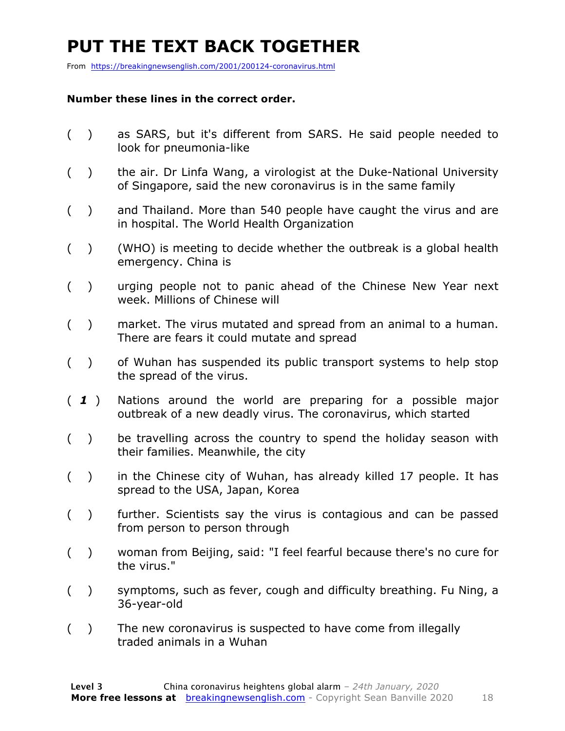### **PUT THE TEXT BACK TOGETHER**

From https://breakingnewsenglish.com/2001/200124-coronavirus.html

#### **Number these lines in the correct order.**

- ( ) as SARS, but it's different from SARS. He said people needed to look for pneumonia-like
- ( ) the air. Dr Linfa Wang, a virologist at the Duke-National University of Singapore, said the new coronavirus is in the same family
- ( ) and Thailand. More than 540 people have caught the virus and are in hospital. The World Health Organization
- ( ) (WHO) is meeting to decide whether the outbreak is a global health emergency. China is
- ( ) urging people not to panic ahead of the Chinese New Year next week. Millions of Chinese will
- ( ) market. The virus mutated and spread from an animal to a human. There are fears it could mutate and spread
- ( ) of Wuhan has suspended its public transport systems to help stop the spread of the virus.
- ( *1* ) Nations around the world are preparing for a possible major outbreak of a new deadly virus. The coronavirus, which started
- ( ) be travelling across the country to spend the holiday season with their families. Meanwhile, the city
- ( ) in the Chinese city of Wuhan, has already killed 17 people. It has spread to the USA, Japan, Korea
- ( ) further. Scientists say the virus is contagious and can be passed from person to person through
- ( ) woman from Beijing, said: "I feel fearful because there's no cure for the virus."
- ( ) symptoms, such as fever, cough and difficulty breathing. Fu Ning, a 36-year-old
- ( ) The new coronavirus is suspected to have come from illegally traded animals in a Wuhan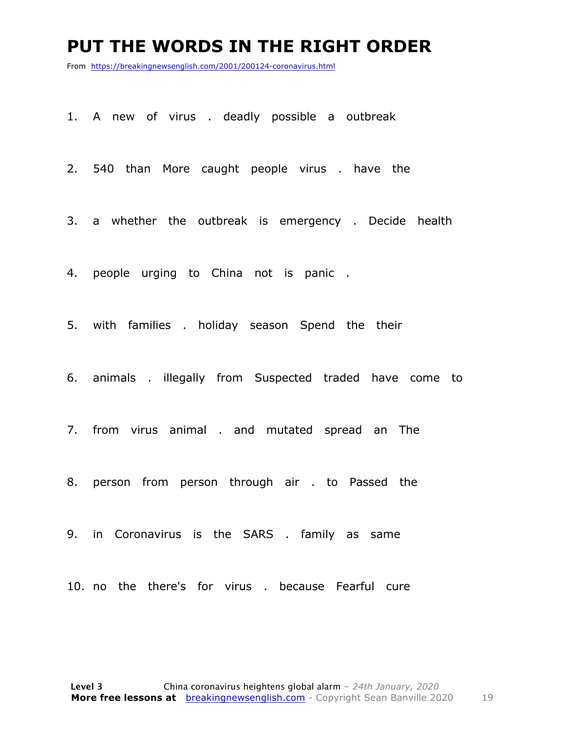#### **PUT THE WORDS IN THE RIGHT ORDER**

From https://breakingnewsenglish.com/2001/200124-coronavirus.html

- 1. A new of virus . deadly possible a outbreak
- 2. 540 than More caught people virus . have the
- 3. a whether the outbreak is emergency . Decide health
- 4. people urging to China not is panic .
- 5. with families . holiday season Spend the their
- 6. animals . illegally from Suspected traded have come to
- 7. from virus animal . and mutated spread an The
- 8. person from person through air . to Passed the
- 9. in Coronavirus is the SARS . family as same
- 10. no the there's for virus . because Fearful cure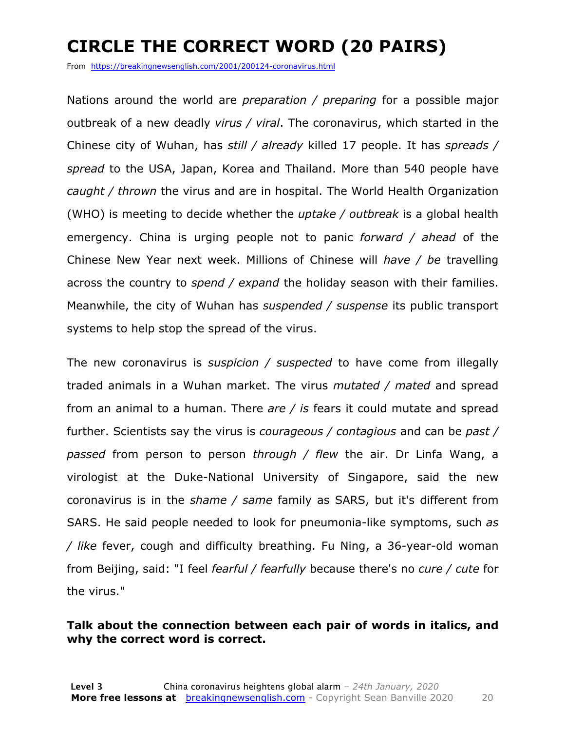### **CIRCLE THE CORRECT WORD (20 PAIRS)**

From https://breakingnewsenglish.com/2001/200124-coronavirus.html

Nations around the world are *preparation / preparing* for a possible major outbreak of a new deadly *virus / viral*. The coronavirus, which started in the Chinese city of Wuhan, has *still / already* killed 17 people. It has *spreads / spread* to the USA, Japan, Korea and Thailand. More than 540 people have *caught / thrown* the virus and are in hospital. The World Health Organization (WHO) is meeting to decide whether the *uptake / outbreak* is a global health emergency. China is urging people not to panic *forward / ahead* of the Chinese New Year next week. Millions of Chinese will *have / be* travelling across the country to *spend / expand* the holiday season with their families. Meanwhile, the city of Wuhan has *suspended / suspense* its public transport systems to help stop the spread of the virus.

The new coronavirus is *suspicion / suspected* to have come from illegally traded animals in a Wuhan market. The virus *mutated / mated* and spread from an animal to a human. There *are / is* fears it could mutate and spread further. Scientists say the virus is *courageous / contagious* and can be *past / passed* from person to person *through / flew* the air. Dr Linfa Wang, a virologist at the Duke-National University of Singapore, said the new coronavirus is in the *shame / same* family as SARS, but it's different from SARS. He said people needed to look for pneumonia-like symptoms, such *as / like* fever, cough and difficulty breathing. Fu Ning, a 36-year-old woman from Beijing, said: "I feel *fearful / fearfully* because there's no *cure / cute* for the virus."

#### **Talk about the connection between each pair of words in italics, and why the correct word is correct.**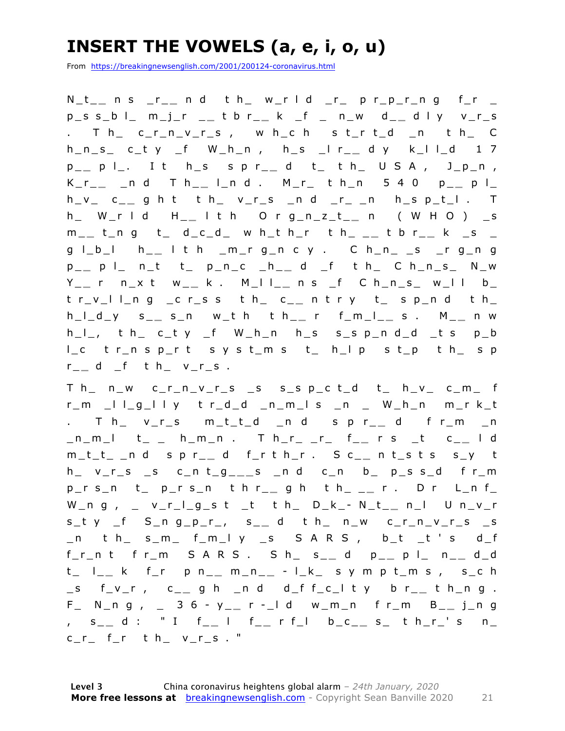### **INSERT THE VOWELS (a, e, i, o, u)**

From https://breakingnewsenglish.com/2001/200124-coronavirus.html

N\_t\_ **\_** n s \_r\_ **\_** n d t h\_ w\_r l d \_r\_ p r\_p\_r\_n g f\_r \_ p\_s s\_b l\_ m\_j\_r \_ **\_** t b r\_ **\_** k \_f \_ n\_w d\_ **\_** d l y v\_r\_s . T h\_ c\_r\_n\_v\_r\_s , w h\_c h s t\_r t\_d \_n t h\_ C  $h_n_s = c_t y_f + w_h_n, h_s = r_s$   $h_s = r_s$   $h_s = r_s$ p \_ **\_** p l\_. I t h\_s s p r\_ **\_** d t\_ t h\_ U S A , J\_p\_n , K\_r\_ **\_** \_n d T h\_ **\_** l\_n d . M\_r\_ t h\_n 5 4 0 p\_ **\_** p l\_  $h_v - c_{-}$  g h t t  $h_v - c_{-}$  and  $r_{-} - n$  h s  $p_t - 1$ . h\_ W\_r l d H\_ **\_** l t h O r g\_n\_z\_t\_ **\_** n ( W H O ) \_s m \_ **\_** t\_n g t\_ d\_c\_d\_ w h\_t h\_r t h\_ \_ **\_** t b r\_ **\_** k \_s \_ g l\_b\_l h\_ **\_** l t h \_m\_r g\_n c y . C h\_n\_ \_s \_r g\_n g p \_ **\_** p l\_ n\_t t \_ p\_n\_c \_h\_ **\_** d \_f t h\_ C h\_n\_s\_ N\_w Y \_ **\_** r n\_x t w\_ **\_** k . M\_l l\_ **\_** n s \_f C h\_n\_s\_ w\_l l b\_ t r\_v\_l l\_n g \_c r\_s s t h\_ c\_ **\_** n t r y t\_ s p\_n d t h\_ h\_l\_d\_y s\_ **\_** s\_n w\_t h t h\_ **\_** r f\_m\_l\_ **\_** s . M\_ **\_** n w  $h_l$ , th c\_ty \_f W\_h\_n h\_s s\_sp\_nd\_d \_ts p\_b l\_c t r\_n s p\_r t s y s t\_m s t\_ h\_l p s t\_p t h\_ s p r \_ **\_** d \_f t h\_ v\_r\_s .

T h\_ n\_w c\_r\_n\_v\_r\_s \_s s\_s p\_c t\_d t\_ h\_v\_ c\_m\_ f r\_m \_l l\_g\_l l y t r\_d\_d \_n\_m\_l s \_n \_ W\_h\_n m\_ r k\_t . T h\_ v\_r\_s m\_t\_t\_d \_n d s p r\_ **\_** d f r\_m \_n \_n\_m\_l t\_ \_ h\_m\_n . T h\_r\_ \_r\_ f\_ **\_** r s \_t c\_ **\_** l d m\_t\_t\_ \_n d s p r\_ **\_** d f\_r t h\_r . S c\_ **\_** n t\_s t s s\_y t h\_ v\_r\_s \_s c\_n t\_g\_ **\_ \_** s \_n d c\_n b\_ p\_s s\_d f r\_m p \_ r s\_n t\_ p\_r s\_n t h r\_ **\_** g h t h\_ \_ **\_** r . D r L\_n f\_ W\_n g , \_ v\_r\_l\_g\_s t \_t t h\_ D\_k\_ - N\_t\_ **\_** n\_l U n\_v\_r s\_t y \_f S\_n g\_p\_r\_, s\_ **\_** d t h\_ n\_w c\_r\_n\_v\_r\_s \_s \_n t h\_ s\_m\_ f\_m\_l y \_s S A R S , b\_t \_t ' s d\_f f\_r\_n t f r\_m S A R S . S h\_ s\_ **\_** d p\_ **\_** p l\_ n\_ **\_** d\_d t\_ l\_ **\_** k f\_r p n\_ **\_** m\_n\_ **\_** - l\_k\_ s y m p t\_m s , s\_c h \_s f\_v\_r , c\_ **\_** g h \_n d d\_f f\_c\_l t y b r\_ **\_** t h\_n g . F\_ N\_n g , \_ 3 6 - y \_ **\_** r - \_l d w\_m\_n f r\_m B\_ **\_** j\_n g , s\_ **\_** d : " I f\_ **\_** l f\_ **\_** r f\_l b\_c\_ **\_** s\_ t h\_r\_' s n\_  $c_r$  f\_r t h\_ v\_r\_s . "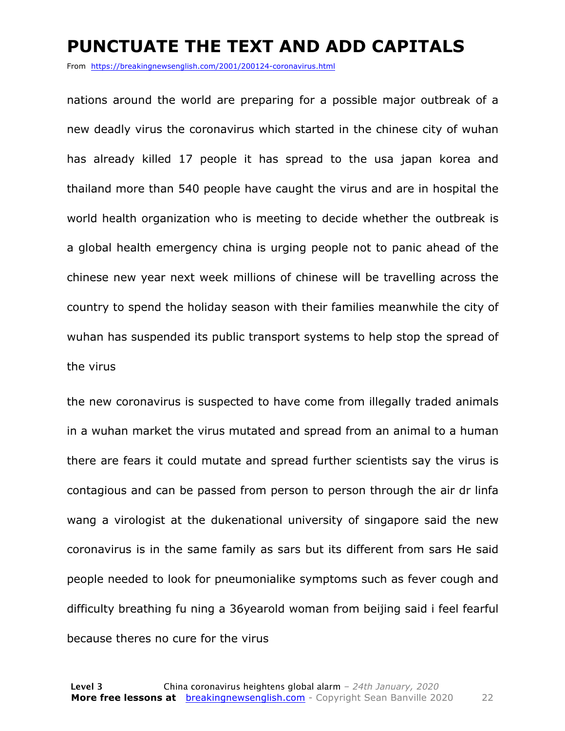#### **PUNCTUATE THE TEXT AND ADD CAPITALS**

From https://breakingnewsenglish.com/2001/200124-coronavirus.html

nations around the world are preparing for a possible major outbreak of a new deadly virus the coronavirus which started in the chinese city of wuhan has already killed 17 people it has spread to the usa japan korea and thailand more than 540 people have caught the virus and are in hospital the world health organization who is meeting to decide whether the outbreak is a global health emergency china is urging people not to panic ahead of the chinese new year next week millions of chinese will be travelling across the country to spend the holiday season with their families meanwhile the city of wuhan has suspended its public transport systems to help stop the spread of the virus

the new coronavirus is suspected to have come from illegally traded animals in a wuhan market the virus mutated and spread from an animal to a human there are fears it could mutate and spread further scientists say the virus is contagious and can be passed from person to person through the air dr linfa wang a virologist at the dukenational university of singapore said the new coronavirus is in the same family as sars but its different from sars He said people needed to look for pneumonialike symptoms such as fever cough and difficulty breathing fu ning a 36yearold woman from beijing said i feel fearful because theres no cure for the virus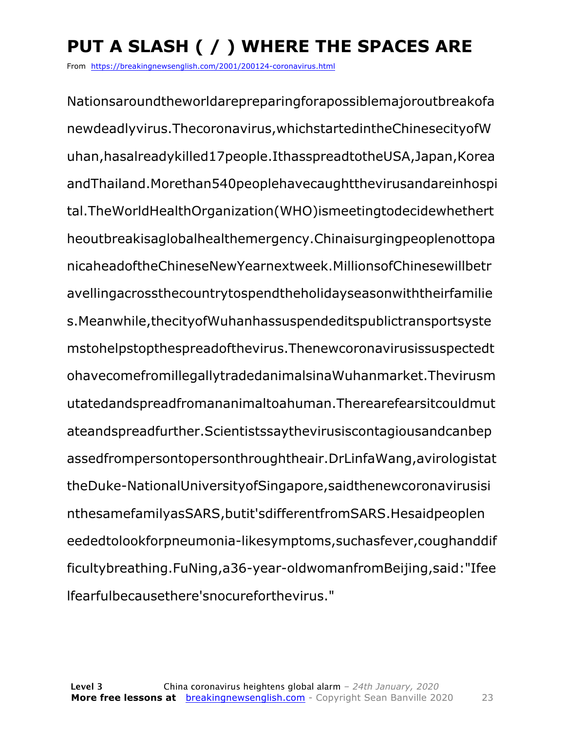### **PUT A SLASH ( / ) WHERE THE SPACES ARE**

From https://breakingnewsenglish.com/2001/200124-coronavirus.html

Nationsaroundtheworldarepreparingforapossiblemajoroutbreakofa newdeadlyvirus.Thecoronavirus,whichstartedintheChinesecityofW uhan,hasalreadykilled17people.IthasspreadtotheUSA,Japan,Korea andThailand.Morethan540peoplehavecaughtthevirusandareinhospi tal.TheWorldHealthOrganization(WHO)ismeetingtodecidewhethert heoutbreakisaglobalhealthemergency.Chinaisurgingpeoplenottopa nicaheadoftheChineseNewYearnextweek.MillionsofChinesewillbetr avellingacrossthecountrytospendtheholidayseasonwiththeirfamilie s.Meanwhile,thecityofWuhanhassuspendeditspublictransportsyste mstohelpstopthespreadofthevirus.Thenewcoronavirusissuspectedt ohavecomefromillegallytradedanimalsinaWuhanmarket.Thevirusm utatedandspreadfromananimaltoahuman.Therearefearsitcouldmut ateandspreadfurther.Scientistssaythevirusiscontagiousandcanbep assedfrompersontopersonthroughtheair.DrLinfaWang,avirologistat theDuke-NationalUniversityofSingapore,saidthenewcoronavirusisi nthesamefamilyasSARS,butit'sdifferentfromSARS.Hesaidpeoplen eededtolookforpneumonia-likesymptoms,suchasfever,coughanddif ficultybreathing.FuNing,a36-year-oldwomanfromBeijing,said:"Ifee lfearfulbecausethere'snocureforthevirus."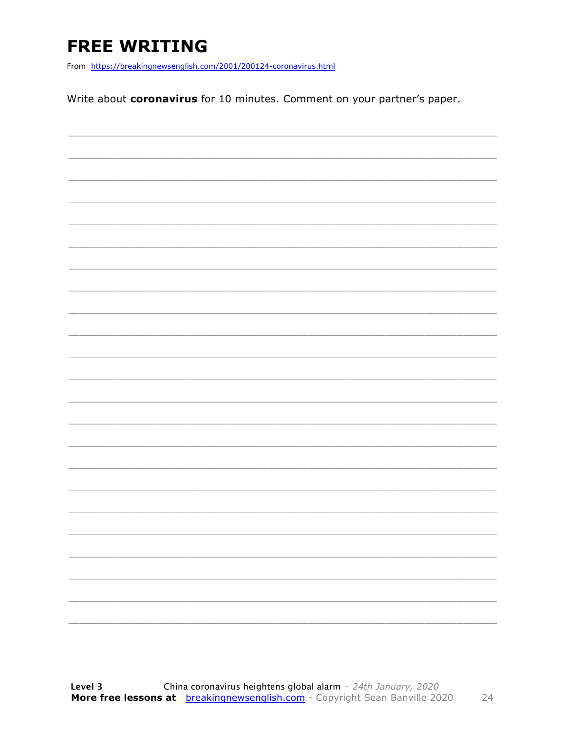### **FREE WRITING**

From https://breakingnewsenglish.com/2001/200124-coronavirus.html

Write about coronavirus for 10 minutes. Comment on your partner's paper.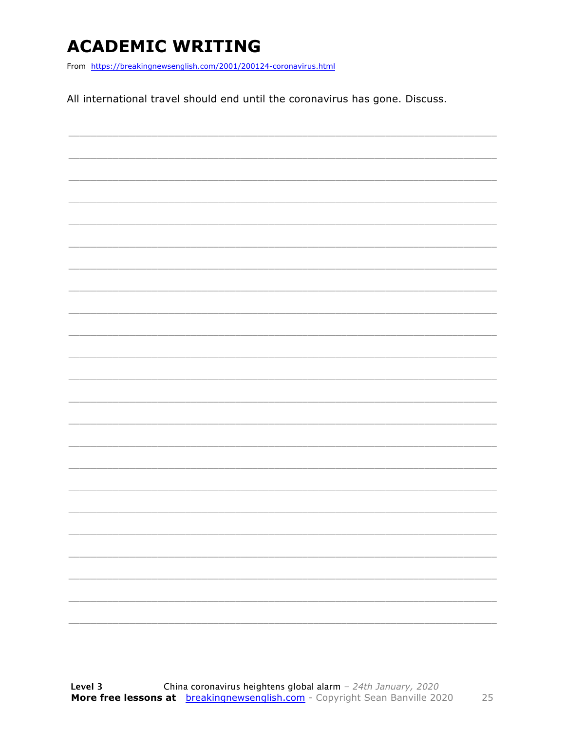### **ACADEMIC WRITING**

From https://breakingnewsenglish.com/2001/200124-coronavirus.html

All international travel should end until the coronavirus has gone. Discuss.

|  | - |
|--|---|
|  |   |
|  | - |
|  | ۰ |
|  |   |
|  |   |

25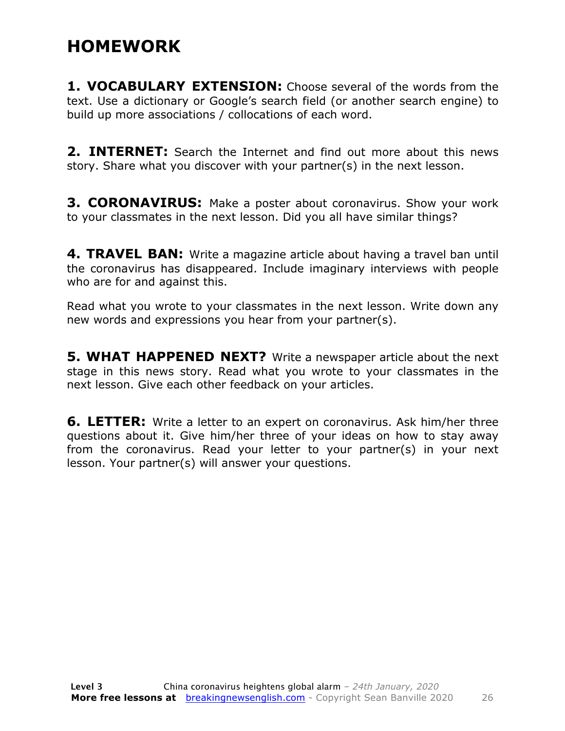#### **HOMEWORK**

**1. VOCABULARY EXTENSION:** Choose several of the words from the text. Use a dictionary or Google's search field (or another search engine) to build up more associations / collocations of each word.

**2. INTERNET:** Search the Internet and find out more about this news story. Share what you discover with your partner(s) in the next lesson.

**3. CORONAVIRUS:** Make a poster about coronavirus. Show your work to your classmates in the next lesson. Did you all have similar things?

**4. TRAVEL BAN:** Write a magazine article about having a travel ban until the coronavirus has disappeared. Include imaginary interviews with people who are for and against this.

Read what you wrote to your classmates in the next lesson. Write down any new words and expressions you hear from your partner(s).

**5. WHAT HAPPENED NEXT?** Write a newspaper article about the next stage in this news story. Read what you wrote to your classmates in the next lesson. Give each other feedback on your articles.

**6. LETTER:** Write a letter to an expert on coronavirus. Ask him/her three questions about it. Give him/her three of your ideas on how to stay away from the coronavirus. Read your letter to your partner(s) in your next lesson. Your partner(s) will answer your questions.